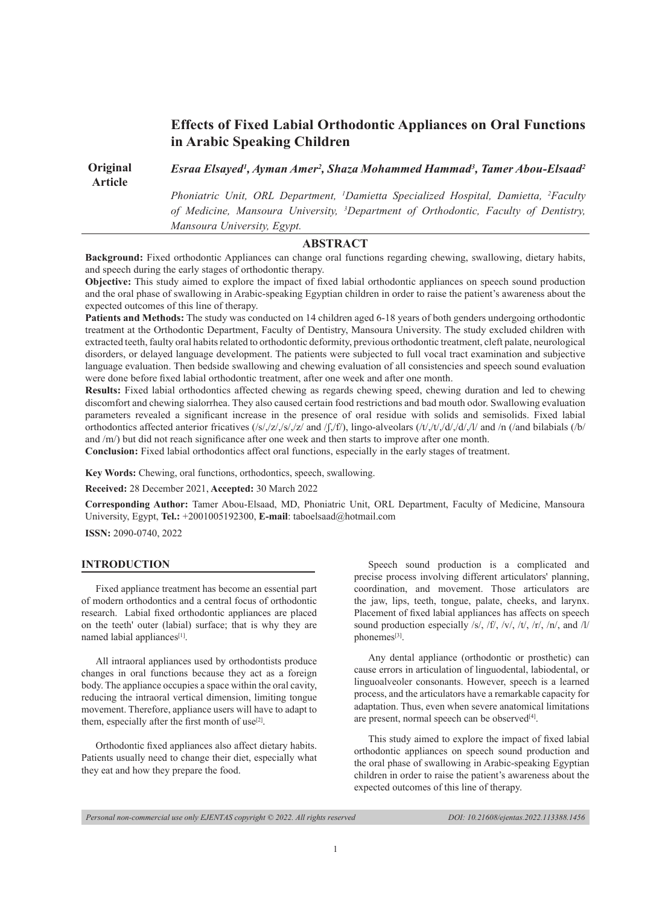# **Effects of Fixed Labial Orthodontic Appliances on Oral Functions in Arabic Speaking Children**

**Original**  *Esraa Elsayed1 , Ayman Amer2 , Shaza Mohammed Hammad3 , Tamer Abou-Elsaad2*

**Article** 

*Phoniatric Unit, ORL Department, 1 Damietta Specialized Hospital, Damietta, 2 Faculty of Medicine, Mansoura University, 3 Department of Orthodontic, Faculty of Dentistry, Mansoura University, Egypt.*

# **ABSTRACT**

**Background:** Fixed orthodontic Appliances can change oral functions regarding chewing, swallowing, dietary habits, and speech during the early stages of orthodontic therapy.

**Objective:** This study aimed to explore the impact of fixed labial orthodontic appliances on speech sound production and the oral phase of swallowing in Arabic-speaking Egyptian children in order to raise the patient's awareness about the expected outcomes of this line of therapy.

**Patients and Methods:** The study was conducted on 14 children aged 6-18 years of both genders undergoing orthodontic treatment at the Orthodontic Department, Faculty of Dentistry, Mansoura University. The study excluded children with extracted teeth, faulty oral habits related to orthodontic deformity, previous orthodontic treatment, cleft palate, neurological disorders, or delayed language development. The patients were subjected to full vocal tract examination and subjective language evaluation. Then bedside swallowing and chewing evaluation of all consistencies and speech sound evaluation were done before fixed labial orthodontic treatment, after one week and after one month.

**Results:** Fixed labial orthodontics affected chewing as regards chewing speed, chewing duration and led to chewing discomfort and chewing sialorrhea. They also caused certain food restrictions and bad mouth odor. Swallowing evaluation parameters revealed a significant increase in the presence of oral residue with solids and semisolids. Fixed labial orthodontics affected anterior fricatives (/s/,/z/,/s/,/z/ and /ʃ,/f/), lingo-alveolars (/t/,/t/,/d/,/d/,/l/ and /n (/and bilabials (/b/ and /m/) but did not reach significance after one week and then starts to improve after one month.

**Conclusion:** Fixed labial orthodontics affect oral functions, especially in the early stages of treatment.

**Key Words:** Chewing, oral functions, orthodontics, speech, swallowing.

**Received:** 28 December 2021, **Accepted:** 30 March 2022

**Corresponding Author:** Tamer Abou-Elsaad, MD, Phoniatric Unit, ORL Department, Faculty of Medicine, Mansoura University, Egypt, **Tel.:** +2001005192300, **E-mail**: taboelsaad@hotmail.com

**ISSN:** 2090-0740, 2022

#### **INTRODUCTION**

Fixed appliance treatment has become an essential part of modern orthodontics and a central focus of orthodontic research. Labial fixed orthodontic appliances are placed on the teeth' outer (labial) surface; that is why they are named labial appliances<sup>[1]</sup>.

All intraoral appliances used by orthodontists produce changes in oral functions because they act as a foreign body. The appliance occupies a space within the oral cavity, reducing the intraoral vertical dimension, limiting tongue movement. Therefore, appliance users will have to adapt to them, especially after the first month of use $[2]$ .

Orthodontic fixed appliances also affect dietary habits. Patients usually need to change their diet, especially what they eat and how they prepare the food.

Speech sound production is a complicated and precise process involving different articulators' planning, coordination, and movement. Those articulators are the jaw, lips, teeth, tongue, palate, cheeks, and larynx. Placement of fixed labial appliances has affects on speech sound production especially /s/, /f/, /v/, /t/, /r/, /n/, and /l/ phonemes<sup>[3]</sup>.

Any dental appliance (orthodontic or prosthetic) can cause errors in articulation of linguodental, labiodental, or linguoalveoler consonants. However, speech is a learned process, and the articulators have a remarkable capacity for adaptation. Thus, even when severe anatomical limitations are present, normal speech can be observed<sup>[4]</sup>.

This study aimed to explore the impact of fixed labial orthodontic appliances on speech sound production and the oral phase of swallowing in Arabic-speaking Egyptian children in order to raise the patient's awareness about the expected outcomes of this line of therapy.

*Personal non-commercial use only EJENTAS copyright © 2022. All rights reserved DOI: 10.21608/ejentas.2022.113388.1456*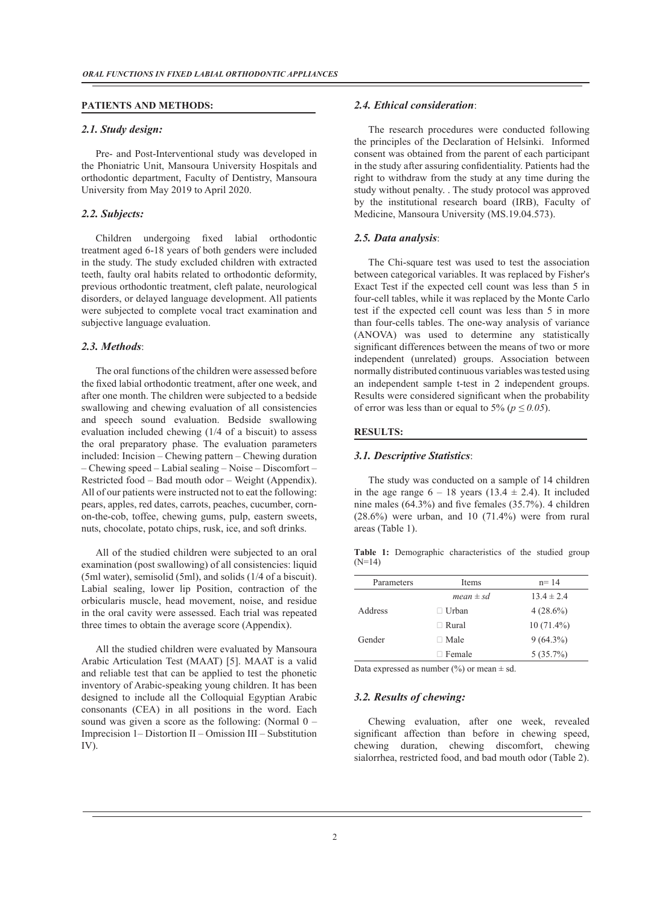#### **PATIENTS AND METHODS:**

#### *2.1. Study design:*

Pre- and Post-Interventional study was developed in the Phoniatric Unit, Mansoura University Hospitals and orthodontic department, Faculty of Dentistry, Mansoura University from May 2019 to April 2020.

#### *2.2. Subjects:*

Children undergoing fixed labial orthodontic treatment aged 6-18 years of both genders were included in the study. The study excluded children with extracted teeth, faulty oral habits related to orthodontic deformity, previous orthodontic treatment, cleft palate, neurological disorders, or delayed language development. All patients were subjected to complete vocal tract examination and subjective language evaluation.

#### *2.3. Methods*:

The oral functions of the children were assessed before the fixed labial orthodontic treatment, after one week, and after one month. The children were subjected to a bedside swallowing and chewing evaluation of all consistencies and speech sound evaluation. Bedside swallowing evaluation included chewing (1/4 of a biscuit) to assess the oral preparatory phase. The evaluation parameters included: Incision – Chewing pattern – Chewing duration – Chewing speed – Labial sealing – Noise – Discomfort – Restricted food – Bad mouth odor – Weight (Appendix). All of our patients were instructed not to eat the following: pears, apples, red dates, carrots, peaches, cucumber, cornon-the-cob, toffee, chewing gums, pulp, eastern sweets, nuts, chocolate, potato chips, rusk, ice, and soft drinks.

All of the studied children were subjected to an oral examination (post swallowing) of all consistencies: liquid (5ml water), semisolid (5ml), and solids (1/4 of a biscuit). Labial sealing, lower lip Position, contraction of the orbicularis muscle, head movement, noise, and residue in the oral cavity were assessed. Each trial was repeated three times to obtain the average score (Appendix).

All the studied children were evaluated by Mansoura Arabic Articulation Test (MAAT) [5]. MAAT is a valid and reliable test that can be applied to test the phonetic inventory of Arabic-speaking young children. It has been designed to include all the Colloquial Egyptian Arabic consonants (CEA) in all positions in the word. Each sound was given a score as the following: (Normal  $0 -$ Imprecision 1– Distortion II – Omission III – Substitution IV).

#### *2.4. Ethical consideration*:

The research procedures were conducted following the principles of the Declaration of Helsinki. Informed consent was obtained from the parent of each participant in the study after assuring confidentiality. Patients had the right to withdraw from the study at any time during the study without penalty. . The study protocol was approved by the institutional research board (IRB), Faculty of Medicine, Mansoura University (MS.19.04.573).

#### *2.5. Data analysis*:

The Chi-square test was used to test the association between categorical variables. It was replaced by Fisher's Exact Test if the expected cell count was less than 5 in four-cell tables, while it was replaced by the Monte Carlo test if the expected cell count was less than 5 in more than four-cells tables. The one-way analysis of variance (ANOVA) was used to determine any statistically significant differences between the means of two or more independent (unrelated) groups. Association between normally distributed continuous variables was tested using an independent sample t-test in 2 independent groups. Results were considered significant when the probability of error was less than or equal to 5% ( $p \le 0.05$ ).

#### **RESULTS:**

#### *3.1. Descriptive Statistics*:

The study was conducted on a sample of 14 children in the age range  $6 - 18$  years (13.4  $\pm$  2.4). It included nine males (64.3%) and five females (35.7%). 4 children  $(28.6\%)$  were urban, and 10  $(71.4\%)$  were from rural areas (Table 1).

**Table 1:** Demographic characteristics of the studied group (N=14)

| Parameters     | <b>Items</b>  | $n = 14$     |
|----------------|---------------|--------------|
|                | $mean \pm sd$ | $134 \pm 24$ |
| <b>Address</b> | $\Box$ Urban  | $4(28.6\%)$  |
|                | $\Box$ Rural  | $10(71.4\%)$ |
| Gender         | $\Box$ Male   | $9(64.3\%)$  |
|                | $\Box$ Female | $5(35.7\%)$  |

Data expressed as number  $(\%)$  or mean  $\pm$  sd.

# *3.2. Results of chewing:*

Chewing evaluation, after one week, revealed significant affection than before in chewing speed, chewing duration, chewing discomfort, chewing sialorrhea, restricted food, and bad mouth odor (Table 2).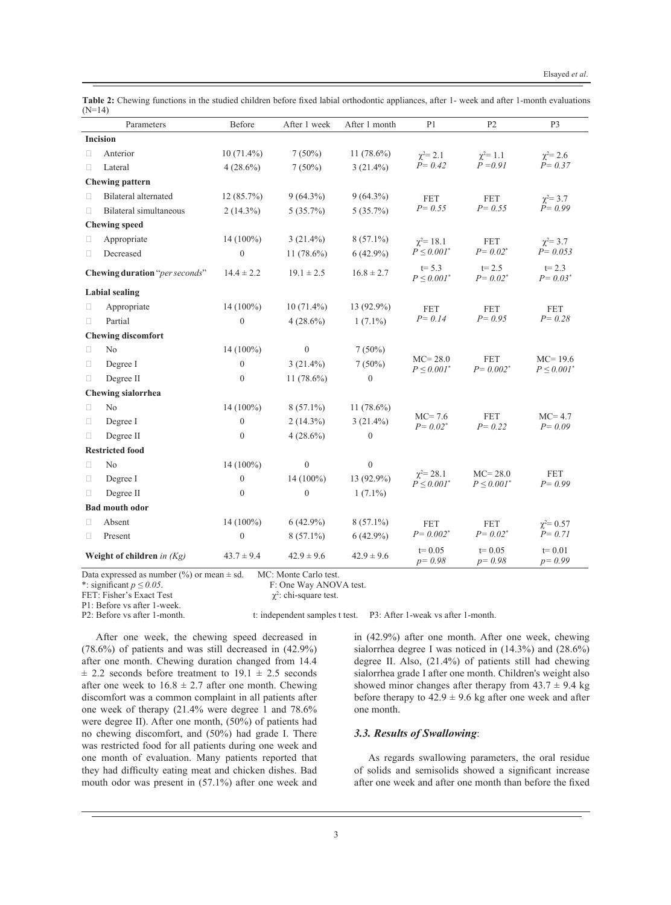|        | Parameters                     | Before           | After 1 week     | After 1 month    | P <sub>1</sub>                             | P2                                         | P <sub>3</sub>                  |
|--------|--------------------------------|------------------|------------------|------------------|--------------------------------------------|--------------------------------------------|---------------------------------|
|        | <b>Incision</b>                |                  |                  |                  |                                            |                                            |                                 |
| $\Box$ | Anterior                       | $10(71.4\%)$     | $7(50\%)$        | $11(78.6\%)$     | $\gamma^2 = 2.1$                           | $\gamma^2 = 1.1$                           | $\gamma^2 = 2.6$                |
| П      | Lateral                        | $4(28.6\%)$      | $7(50\%)$        | $3(21.4\%)$      | $P = 0.42$                                 | $P = 0.91$                                 | $P = 0.37$                      |
|        | <b>Chewing pattern</b>         |                  |                  |                  |                                            |                                            |                                 |
| П      | <b>Bilateral alternated</b>    | 12 (85.7%)       | $9(64.3\%)$      | $9(64.3\%)$      | <b>FET</b>                                 | <b>FET</b>                                 | $\gamma^2 = 3.7$                |
| $\Box$ | Bilateral simultaneous         | $2(14.3\%)$      | $5(35.7\%)$      | $5(35.7\%)$      | $P = 0.55$                                 | $P = 0.55$                                 | $P = 0.99$                      |
|        | <b>Chewing speed</b>           |                  |                  |                  |                                            |                                            |                                 |
| O      | Appropriate                    | $14(100\%)$      | $3(21.4\%)$      | $8(57.1\%)$      | $\chi^2 = 18.1$                            | <b>FET</b>                                 | $\chi^2 = 3.7$                  |
| $\Box$ | Decreased                      | $\overline{0}$   | 11 $(78.6\%)$    | $6(42.9\%)$      | $P \leq 0.001^*$                           | $P = 0.02^*$                               | $P = 0.053$                     |
|        | Chewing duration "per seconds" | $14.4 \pm 2.2$   | $19.1 \pm 2.5$   | $16.8 \pm 2.7$   | $t = 5.3$<br>$P \leq 0.001^*$              | $t = 2.5$<br>$P = 0.02$ <sup>*</sup>       | $t = 2.3$<br>$P = 0.03^*$       |
|        | <b>Labial sealing</b>          |                  |                  |                  |                                            |                                            |                                 |
| $\Box$ | Appropriate                    | 14 (100%)        | $10(71.4\%)$     | 13 (92.9%)       | <b>FET</b>                                 | <b>FET</b>                                 | <b>FET</b>                      |
| O.     | Partial                        | $\boldsymbol{0}$ | $4(28.6\%)$      | $1(7.1\%)$       | $P = 0.14$                                 | $P = 0.95$                                 | $P = 0.28$                      |
|        | <b>Chewing discomfort</b>      |                  |                  |                  |                                            |                                            |                                 |
| $\Box$ | No                             | 14 (100%)        | $\boldsymbol{0}$ | $7(50\%)$        |                                            |                                            |                                 |
| $\Box$ | Degree I                       | $\mathbf{0}$     | $3(21.4\%)$      | $7(50\%)$        | $MC = 28.0$<br>$P \leq 0.001$ <sup>*</sup> | <b>FET</b><br>$P = 0.002$ <sup>*</sup>     | $MC = 19.6$<br>$P \leq 0.001^*$ |
| П      | Degree II                      | $\boldsymbol{0}$ | 11 $(78.6\%)$    | $\boldsymbol{0}$ |                                            |                                            |                                 |
|        | <b>Chewing sialorrhea</b>      |                  |                  |                  |                                            |                                            |                                 |
| $\Box$ | No                             | 14 (100%)        | $8(57.1\%)$      | 11 (78.6%)       |                                            |                                            |                                 |
| $\Box$ | Degree I                       | $\mathbf{0}$     | $2(14.3\%)$      | $3(21.4\%)$      | $MC=7.6$<br>$P = 0.02^*$                   | <b>FET</b><br>$P = 0.22$                   | $MC=4.7$<br>$P = 0.09$          |
| $\Box$ | Degree II                      | $\boldsymbol{0}$ | $4(28.6\%)$      | $\boldsymbol{0}$ |                                            |                                            |                                 |
|        | <b>Restricted food</b>         |                  |                  |                  |                                            |                                            |                                 |
| $\Box$ | N <sub>0</sub>                 | 14 (100%)        | $\boldsymbol{0}$ | $\boldsymbol{0}$ |                                            |                                            |                                 |
| $\Box$ | Degree I                       | $\boldsymbol{0}$ | 14 (100%)        | 13 (92.9%)       | $\chi^2 = 28.1$<br>$P \leq 0.001^*$        | $MC = 28.0$<br>$P \leq 0.001$ <sup>*</sup> | <b>FET</b><br>$P = 0.99$        |
| $\Box$ | Degree II                      | $\mathbf{0}$     | $\boldsymbol{0}$ | $1(7.1\%)$       |                                            |                                            |                                 |
|        | <b>Bad mouth odor</b>          |                  |                  |                  |                                            |                                            |                                 |
| $\Box$ | Absent                         | 14 (100%)        | $6(42.9\%)$      | $8(57.1\%)$      | <b>FET</b>                                 | <b>FET</b>                                 | $\chi^2 = 0.57$                 |
| $\Box$ | Present                        | $\boldsymbol{0}$ | $8(57.1\%)$      | $6(42.9\%)$      | $P = 0.002$ <sup>*</sup>                   | $P = 0.02^*$                               | $P = 0.71$                      |
|        | Weight of children in $(Kg)$   | $43.7 \pm 9.4$   | $42.9 \pm 9.6$   | $42.9 \pm 9.6$   | $t = 0.05$<br>$p = 0.98$                   | $t = 0.05$<br>$p = 0.98$                   | $t = 0.01$<br>$p = 0.99$        |

**Table 2:** Chewing functions in the studied children before fixed labial orthodontic appliances, after 1- week and after 1-month evaluations  $(N=14)$ 

Data expressed as number (%) or mean  $\pm$  sd. MC: Monte Carlo test.<br>\*: significant  $p \le 0.05$ . F: One Way ANOV

F: One Way ANOVA test.

FET: Fisher's Exact Test

P1: Before vs after 1-week.<br>P2: Before vs after 1-month.

t: independent samples t test. P3: After 1-weak vs after 1-month.

 $\chi^2$ : chi-square test.

After one week, the chewing speed decreased in (78.6%) of patients and was still decreased in (42.9%) after one month. Chewing duration changed from 14.4  $\pm$  2.2 seconds before treatment to 19.1  $\pm$  2.5 seconds after one week to  $16.8 \pm 2.7$  after one month. Chewing discomfort was a common complaint in all patients after one week of therapy (21.4% were degree 1 and 78.6% were degree II). After one month, (50%) of patients had no chewing discomfort, and (50%) had grade I. There was restricted food for all patients during one week and one month of evaluation. Many patients reported that they had difficulty eating meat and chicken dishes. Bad mouth odor was present in (57.1%) after one week and

in (42.9%) after one month. After one week, chewing sialorrhea degree I was noticed in (14.3%) and (28.6%) degree II. Also, (21.4%) of patients still had chewing sialorrhea grade I after one month. Children's weight also showed minor changes after therapy from  $43.7 \pm 9.4$  kg before therapy to  $42.9 \pm 9.6$  kg after one week and after one month.

#### *3.3. Results of Swallowing*:

As regards swallowing parameters, the oral residue of solids and semisolids showed a significant increase after one week and after one month than before the fixed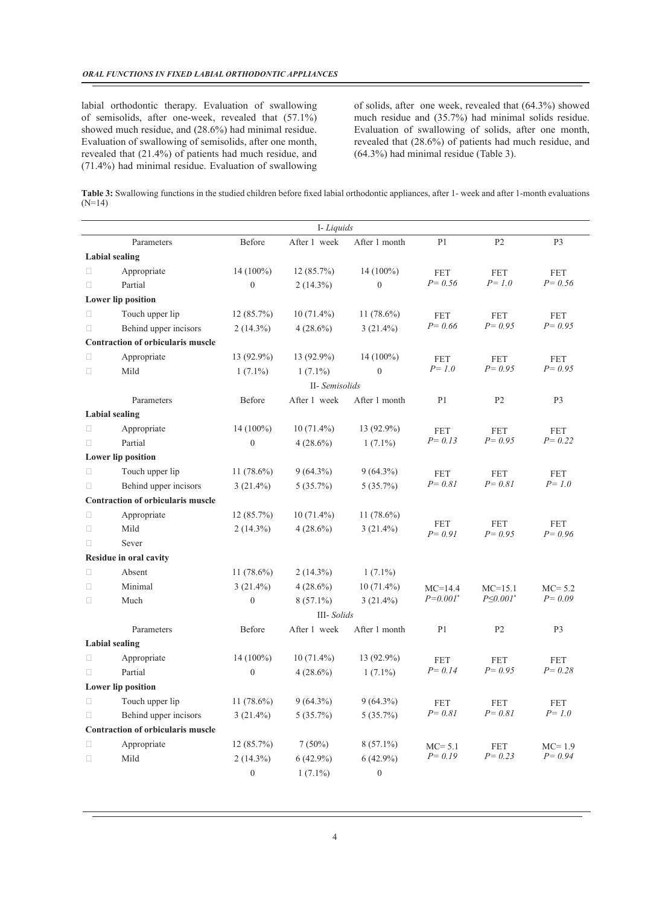labial orthodontic therapy. Evaluation of swallowing of semisolids, after one-week, revealed that (57.1%) showed much residue, and (28.6%) had minimal residue. Evaluation of swallowing of semisolids, after one month, revealed that (21.4%) of patients had much residue, and (71.4%) had minimal residue. Evaluation of swallowing

of solids, after one week, revealed that (64.3%) showed much residue and (35.7%) had minimal solids residue. Evaluation of swallowing of solids, after one month, revealed that (28.6%) of patients had much residue, and (64.3%) had minimal residue (Table 3).

**Table 3:** Swallowing functions in the studied children before fixed labial orthodontic appliances, after 1- week and after 1-month evaluations (N=14)

|                       |                                   |                  | I-Liquids      |                  |                          |                          |                          |
|-----------------------|-----------------------------------|------------------|----------------|------------------|--------------------------|--------------------------|--------------------------|
|                       | Parameters                        | Before           | After 1 week   | After 1 month    | P <sub>1</sub>           | P <sub>2</sub>           | P <sub>3</sub>           |
| <b>Labial</b> sealing |                                   |                  |                |                  |                          |                          |                          |
| $\Box$                | Appropriate                       | $14(100\%)$      | 12(85.7%)      | 14 (100%)        | <b>FET</b>               | <b>FET</b>               | <b>FET</b>               |
| $\Box$                | Partial                           | $\boldsymbol{0}$ | $2(14.3\%)$    | $\theta$         | $P = 0.56$               | $P = 1.0$                | $P = 0.56$               |
|                       | Lower lip position                |                  |                |                  |                          |                          |                          |
| $\Box$                | Touch upper lip                   | 12(85.7%)        | $10(71.4\%)$   | 11 $(78.6\%)$    | <b>FET</b>               | <b>FET</b>               | <b>FET</b>               |
| $\Box$                | Behind upper incisors             | $2(14.3\%)$      | $4(28.6\%)$    | $3(21.4\%)$      | $P = 0.66$               | $P = 0.95$               | $P = 0.95$               |
|                       | Contraction of orbicularis muscle |                  |                |                  |                          |                          |                          |
| $\Box$                | Appropriate                       | 13 (92.9%)       | 13 (92.9%)     | $14(100\%)$      | <b>FET</b>               | <b>FET</b>               | <b>FET</b>               |
| $\Box$                | Mild                              | $1(7.1\%)$       | $1(7.1\%)$     | $\theta$         | $P = 1.0$                | $P = 0.95$               | $P = 0.95$               |
|                       |                                   |                  | II- Semisolids |                  |                          |                          |                          |
|                       | Parameters                        | Before           | After 1 week   | After 1 month    | P <sub>1</sub>           | P <sub>2</sub>           | P <sub>3</sub>           |
| <b>Labial</b> sealing |                                   |                  |                |                  |                          |                          |                          |
| $\Box$                | Appropriate                       | $14(100\%)$      | $10(71.4\%)$   | 13 (92.9%)       | <b>FET</b>               | <b>FET</b>               | <b>FET</b>               |
| $\Box$                | Partial                           | $\boldsymbol{0}$ | $4(28.6\%)$    | $1(7.1\%)$       | $P = 0.13$               | $P = 0.95$               | $P = 0.22$               |
|                       | Lower lip position                |                  |                |                  |                          |                          |                          |
| $\Box$                | Touch upper lip                   | 11 $(78.6\%)$    | $9(64.3\%)$    | $9(64.3\%)$      | <b>FET</b>               | <b>FET</b>               | <b>FET</b>               |
| O                     | Behind upper incisors             | $3(21.4\%)$      | $5(35.7\%)$    | 5(35.7%)         | $P = 0.81$               | $P = 0.81$               | $P = 1.0$                |
|                       | Contraction of orbicularis muscle |                  |                |                  |                          |                          |                          |
| $\Box$                | Appropriate                       | $12(85.7\%)$     | $10(71.4\%)$   | 11 $(78.6\%)$    |                          |                          |                          |
| $\Box$                | Mild                              | $2(14.3\%)$      | $4(28.6\%)$    | $3(21.4\%)$      | <b>FET</b><br>$P = 0.91$ | <b>FET</b><br>$P = 0.95$ | <b>FET</b><br>$P = 0.96$ |
| $\Box$                | Sever                             |                  |                |                  |                          |                          |                          |
|                       | Residue in oral cavity            |                  |                |                  |                          |                          |                          |
| $\Box$                | Absent                            | 11 $(78.6\%)$    | $2(14.3\%)$    | $1(7.1\%)$       |                          |                          |                          |
| $\Box$                | Minimal                           | $3(21.4\%)$      | $4(28.6\%)$    | $10(71.4\%)$     | $MC=14.4$                | $MC = 15.1$              | $MC = 5.2$               |
| $\Box$                | Much                              | $\boldsymbol{0}$ | $8(57.1\%)$    | $3(21.4\%)$      | $P=0.001^*$              | $P \le 0.001$ *          | $P = 0.09$               |
|                       |                                   |                  | III-Solids     |                  |                          |                          |                          |
|                       | Parameters                        | Before           | After 1 week   | After 1 month    | P <sub>1</sub>           | P <sub>2</sub>           | P <sub>3</sub>           |
| <b>Labial</b> sealing |                                   |                  |                |                  |                          |                          |                          |
| $\Box$                | Appropriate                       | $14(100\%)$      | $10(71.4\%)$   | 13 (92.9%)       | <b>FET</b>               | <b>FET</b>               | <b>FET</b>               |
| $\Box$                | Partial                           | $\overline{0}$   | $4(28.6\%)$    | $1(7.1\%)$       | $P = 0.14$               | $P = 0.95$               | $P = 0.28$               |
|                       | Lower lip position                |                  |                |                  |                          |                          |                          |
| $\Box$                | Touch upper lip                   | 11 $(78.6\%)$    | $9(64.3\%)$    | $9(64.3\%)$      | FET                      | <b>FET</b>               | <b>FET</b>               |
| $\Box$                | Behind upper incisors             | $3(21.4\%)$      | 5(35.7%)       | 5(35.7%)         | $P = 0.81$               | $P = 0.81$               | $P = 1.0$                |
|                       | Contraction of orbicularis muscle |                  |                |                  |                          |                          |                          |
| $\Box$                | Appropriate                       | 12(85.7%)        | $7(50\%)$      | $8(57.1\%)$      | $MC = 5.1$               | <b>FET</b>               | $MC=1.9$                 |
| $\Box$                | Mild                              | $2(14.3\%)$      | $6(42.9\%)$    | $6(42.9\%)$      | $P = 0.19$               | $P = 0.23$               | $P = 0.94$               |
|                       |                                   | $\boldsymbol{0}$ | $1(7.1\%)$     | $\boldsymbol{0}$ |                          |                          |                          |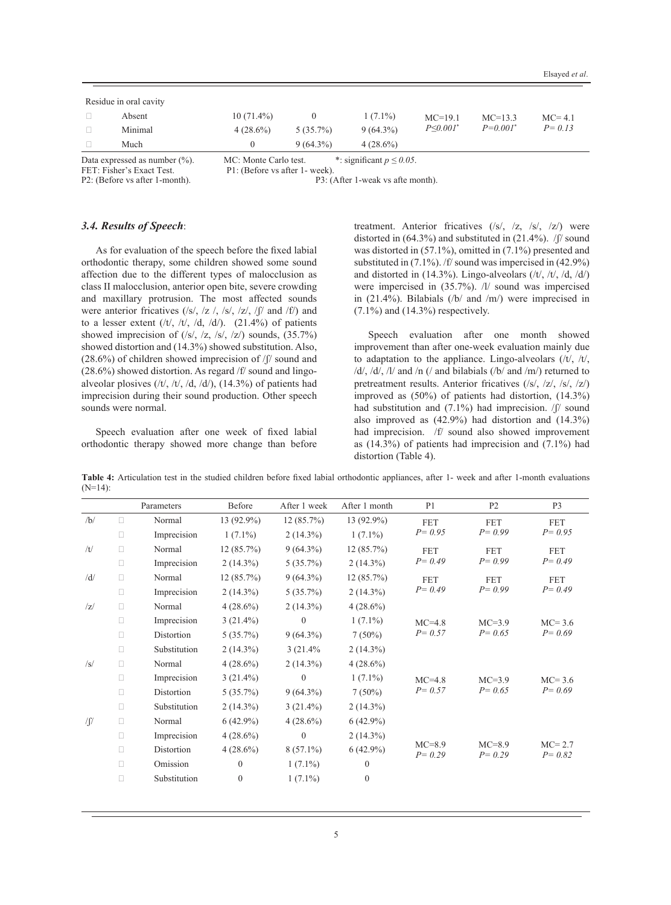|        |                        | $M \cap M$ , $M$ , $M$ , $M$ , $M$ , $M$ |             | $\ddot{ }$ $\ddot{ }$ $\ddot{ }$ $\ddot{ }$ $\ddot{ }$ $\ddot{ }$ $\ddot{ }$ $\ddot{ }$ $\ddot{ }$ $\ddot{ }$ $\ddot{ }$ $\ddot{ }$ $\ddot{ }$ $\ddot{ }$ $\ddot{ }$ $\ddot{ }$ $\ddot{ }$ $\ddot{ }$ $\ddot{ }$ $\ddot{ }$ $\ddot{ }$ $\ddot{ }$ $\ddot{ }$ $\ddot{ }$ $\ddot{ }$ $\ddot{ }$ $\ddot{ }$ $\ddot{$ |                 |             |            |
|--------|------------------------|------------------------------------------|-------------|-------------------------------------------------------------------------------------------------------------------------------------------------------------------------------------------------------------------------------------------------------------------------------------------------------------------|-----------------|-------------|------------|
|        | Much                   |                                          | $9(64.3\%)$ | $4(28.6\%)$                                                                                                                                                                                                                                                                                                       |                 |             |            |
| $\Box$ | Minimal                | $4(28.6\%)$                              | $5(35.7\%)$ | $9(64.3\%)$                                                                                                                                                                                                                                                                                                       | $P \le 0.001^*$ | $P=0.001^*$ | $P = 0.13$ |
| $\Box$ | Absent                 | $10(71.4\%)$                             |             | $1(7.1\%)$                                                                                                                                                                                                                                                                                                        | $MC=19.1$       | $MC=13.3$   | $MC=4.1$   |
|        | Residue in oral cavity |                                          |             |                                                                                                                                                                                                                                                                                                                   |                 |             |            |
|        |                        |                                          |             |                                                                                                                                                                                                                                                                                                                   |                 |             |            |

Data expressed as number (%). MC: Monte Carlo test. \*: significant  $p \le 0.05$ . FET: Fisher's Exact Test. P1: (Before vs after 1- week).

FET: Fisher's Exact Test. P1: (Before vs after 1- week).<br>P2: (Before vs after 1-month). P3: (

P3: (After 1-weak vs afte month).

### *3.4. Results of Speech*:

As for evaluation of the speech before the fixed labial orthodontic therapy, some children showed some sound affection due to the different types of malocclusion as class II malocclusion, anterior open bite, severe crowding and maxillary protrusion. The most affected sounds were anterior fricatives (/s/, /z /, /s/, /z/, /f/ and /f/) and to a lesser extent  $(\frac{t}{t}, \frac{t}{t}, \frac{d}{dt})$ . (21.4%) of patients showed imprecision of  $(|s|, |z, |s|, |z|)$  sounds,  $(35.7%)$ showed distortion and (14.3%) showed substitution. Also,  $(28.6\%)$  of children showed imprecision of  $/$ f $/$  sound and (28.6%) showed distortion. As regard /f/ sound and lingoalveolar plosives  $((t\prime, /t\prime, /d, /d\prime), (14.3%)$  of patients had imprecision during their sound production. Other speech sounds were normal.

Speech evaluation after one week of fixed labial orthodontic therapy showed more change than before treatment. Anterior fricatives (/s/, /z, /s/, /z/) were distorted in (64.3%) and substituted in (21.4%). /ʃ/ sound was distorted in (57.1%), omitted in (7.1%) presented and substituted in (7.1%). /f/ sound was impercised in (42.9%) and distorted in  $(14.3\%)$ . Lingo-alveolars  $(\frac{t}{\sqrt{t}}, \frac{t}{\sqrt{t}}, \frac{d}{\sqrt{t}})$ were impercised in (35.7%). /l/ sound was impercised in (21.4%). Bilabials (/b/ and /m/) were imprecised in  $(7.1\%)$  and  $(14.3\%)$  respectively.

Speech evaluation after one month showed improvement than after one-week evaluation mainly due to adaptation to the appliance. Lingo-alveolars  $(tt)$ ,  $/t$ ,  $/d$ ,  $/d$ ,  $/l$  and  $/n$  (/ and bilabials (/b/ and /m/) returned to pretreatment results. Anterior fricatives (/s/, /z/, /s/, /z/) improved as (50%) of patients had distortion, (14.3%) had substitution and  $(7.1\%)$  had imprecision.  $/$  sound also improved as (42.9%) had distortion and (14.3%) had imprecision. /f/ sound also showed improvement as  $(14.3\%)$  of patients had imprecision and  $(7.1\%)$  had distortion (Table 4).

**Table 4:** Articulation test in the studied children before fixed labial orthodontic appliances, after 1- week and after 1-month evaluations  $(N=14)$ :

|        |        | Parameters   | Before           | After 1 week   | After 1 month    | P <sub>1</sub>         | P <sub>2</sub>         | P <sub>3</sub>         |
|--------|--------|--------------|------------------|----------------|------------------|------------------------|------------------------|------------------------|
| /b/    | П      | Normal       | 13 (92.9%)       | 12 (85.7%)     | 13 (92.9%)       | <b>FET</b>             | <b>FET</b>             | <b>FET</b>             |
|        | $\Box$ | Imprecision  | $1(7.1\%)$       | $2(14.3\%)$    | $1(7.1\%)$       | $P = 0.95$             | $P = 0.99$             | $P = 0.95$             |
| /t/    | $\Box$ | Normal       | 12(85.7%)        | $9(64.3\%)$    | 12(85.7%)        | <b>FET</b>             | <b>FET</b>             | <b>FET</b>             |
|        | $\Box$ | Imprecision  | $2(14.3\%)$      | $5(35.7\%)$    | $2(14.3\%)$      | $P = 0.49$             | $P = 0.99$             | $P = 0.49$             |
| /d/    | $\Box$ | Normal       | 12 (85.7%)       | $9(64.3\%)$    | 12(85.7%)        | <b>FET</b>             | <b>FET</b>             | <b>FET</b>             |
|        | $\Box$ | Imprecision  | $2(14.3\%)$      | 5(35.7%)       | $2(14.3\%)$      | $P = 0.49$             | $P = 0.99$             | $P = 0.49$             |
| z      | $\Box$ | Normal       | $4(28.6\%)$      | $2(14.3\%)$    | $4(28.6\%)$      |                        |                        |                        |
|        | $\Box$ | Imprecision  | $3(21.4\%)$      | $\overline{0}$ | $1(7.1\%)$       | $MC=4.8$               | $MC=3.9$               | $MC = 3.6$             |
|        | $\Box$ | Distortion   | 5(35.7%)         | $9(64.3\%)$    | $7(50\%)$        | $P = 0.57$             | $P = 0.65$             | $P = 0.69$             |
|        | $\Box$ | Substitution | $2(14.3\%)$      | 3(21.4%        | $2(14.3\%)$      |                        |                        |                        |
| /s/    | $\Box$ | Normal       | $4(28.6\%)$      | $2(14.3\%)$    | $4(28.6\%)$      |                        |                        |                        |
|        | $\Box$ | Imprecision  | $3(21.4\%)$      | $\overline{0}$ | $1(7.1\%)$       | $MC=4.8$               | $MC=3.9$               | $MC=3.6$               |
|        | $\Box$ | Distortion   | $5(35.7\%)$      | $9(64.3\%)$    | $7(50\%)$        | $P = 0.57$             | $P = 0.65$             | $P = 0.69$             |
|        | $\Box$ | Substitution | $2(14.3\%)$      | $3(21.4\%)$    | $2(14.3\%)$      |                        |                        |                        |
| $\int$ | $\Box$ | Normal       | $6(42.9\%)$      | $4(28.6\%)$    | $6(42.9\%)$      |                        |                        |                        |
|        | $\Box$ | Imprecision  | $4(28.6\%)$      | $\overline{0}$ | $2(14.3\%)$      |                        |                        |                        |
|        | $\Box$ | Distortion   | $4(28.6\%)$      | $8(57.1\%)$    | $6(42.9\%)$      | $MC=8.9$<br>$P = 0.29$ | $MC=8.9$<br>$P = 0.29$ | $MC=2.7$<br>$P = 0.82$ |
|        | $\Box$ | Omission     | $\theta$         | $1(7.1\%)$     | $\mathbf{0}$     |                        |                        |                        |
|        | $\Box$ | Substitution | $\boldsymbol{0}$ | $1(7.1\%)$     | $\boldsymbol{0}$ |                        |                        |                        |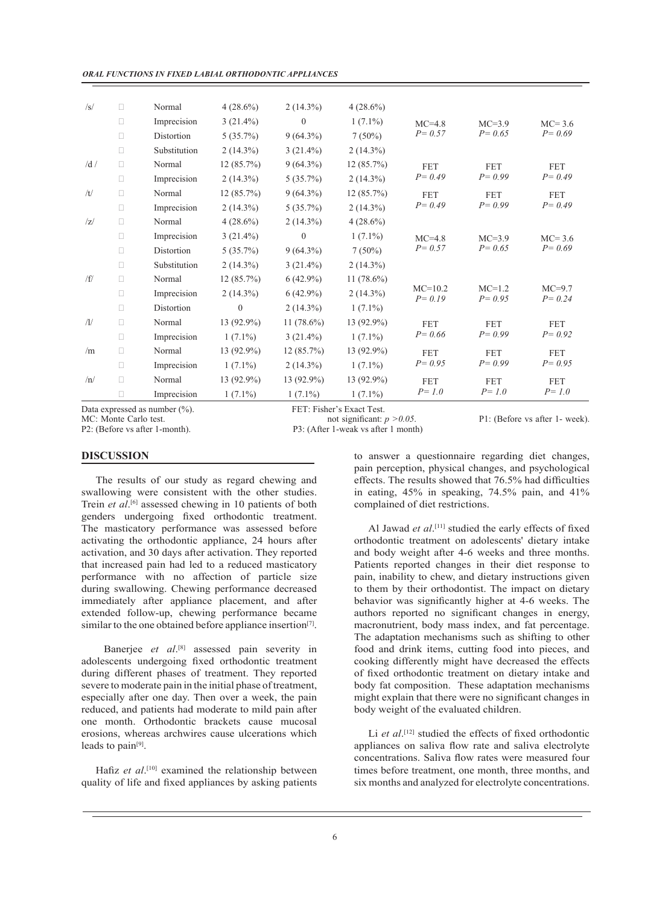*ORAL FUNCTIONS IN FIXED LABIAL ORTHODONTIC APPLIANCES*

| Data expressed as number $(\%).$<br>MC: Monte Carlo test. |        |              | FET: Fisher's Exact Test.<br>not significant: $p > 0.05$ . |               |               | P1: (Before vs after 1- week |                        |                        |
|-----------------------------------------------------------|--------|--------------|------------------------------------------------------------|---------------|---------------|------------------------------|------------------------|------------------------|
|                                                           | $\Box$ | Imprecision  | $1(7.1\%)$                                                 | $1(7.1\%)$    | $1(7.1\%)$    | $P = 1.0$                    | $P = 1.0$              | $P = 1.0$              |
| /n/                                                       | $\Box$ | Normal       | 13 (92.9%)                                                 | 13 (92.9%)    | 13 (92.9%)    | <b>FET</b>                   | <b>FET</b>             | <b>FET</b>             |
|                                                           | $\Box$ | Imprecision  | $1(7.1\%)$                                                 | $2(14.3\%)$   | $1(7.1\%)$    | $P = 0.95$                   | $P = 0.99$             | $P = 0.95$             |
| /m                                                        | $\Box$ | Normal       | 13 (92.9%)                                                 | 12(85.7%)     | 13 (92.9%)    | <b>FET</b>                   | <b>FET</b>             | <b>FET</b>             |
|                                                           | $\Box$ | Imprecision  | $1(7.1\%)$                                                 | $3(21.4\%)$   | $1(7.1\%)$    | $P = 0.66$                   | $P = 0.99$             | $P = 0.92$             |
| $\sqrt{1/2}$                                              | $\Box$ | Normal       | 13 (92.9%)                                                 | 11 $(78.6\%)$ | 13 (92.9%)    | <b>FET</b>                   | <b>FET</b>             | <b>FET</b>             |
|                                                           | $\Box$ | Distortion   | $\Omega$                                                   | $2(14.3\%)$   | $1(7.1\%)$    |                              |                        |                        |
|                                                           | $\Box$ | Imprecision  | $2(14.3\%)$                                                | $6(42.9\%)$   | $2(14.3\%)$   | $MC=10.2$<br>$P = 0.19$      | $MC=1.2$<br>$P = 0.95$ | $MC=9.7$<br>$P = 0.24$ |
| /f/                                                       | $\Box$ | Normal       | 12(85.7%)                                                  | $6(42.9\%)$   | 11 $(78.6\%)$ |                              |                        |                        |
|                                                           | $\Box$ | Substitution | $2(14.3\%)$                                                | $3(21.4\%)$   | $2(14.3\%)$   |                              |                        |                        |
|                                                           | $\Box$ | Distortion   | 5(35.7%)                                                   | $9(64.3\%)$   | $7(50\%)$     | $P = 0.57$                   | $P = 0.65$             | $P = 0.69$             |
|                                                           | $\Box$ | Imprecision  | $3(21.4\%)$                                                | $\theta$      | $1(7.1\%)$    | $MC=4.8$                     | $MC=3.9$               | $MC=3.6$               |
| z                                                         | $\Box$ | Normal       | $4(28.6\%)$                                                | $2(14.3\%)$   | $4(28.6\%)$   |                              |                        |                        |
|                                                           | $\Box$ | Imprecision  | $2(14.3\%)$                                                | $5(35.7\%)$   | $2(14.3\%)$   | $P = 0.49$                   | $P = 0.99$             | $P = 0.49$             |
| /t/                                                       | $\Box$ | Normal       | 12(85.7%)                                                  | $9(64.3\%)$   | 12(85.7%)     | <b>FET</b>                   | <b>FET</b>             | <b>FET</b>             |
|                                                           | $\Box$ | Imprecision  | $2(14.3\%)$                                                | 5(35.7%)      | $2(14.3\%)$   | $P = 0.49$                   | $P = 0.99$             | $P = 0.49$             |
| /d/                                                       | $\Box$ | Normal       | 12(85.7%)                                                  | $9(64.3\%)$   | 12(85.7%)     | <b>FET</b>                   | <b>FET</b>             | <b>FET</b>             |
|                                                           | $\Box$ | Substitution | $2(14.3\%)$                                                | $3(21.4\%)$   | $2(14.3\%)$   |                              |                        |                        |
|                                                           | $\Box$ | Distortion   | $5(35.7\%)$                                                | $9(64.3\%)$   | $7(50\%)$     | $P = 0.57$                   | $P = 0.65$             | $P = 0.69$             |
|                                                           | $\Box$ | Imprecision  | $3(21.4\%)$                                                | $\mathbf{0}$  | $1(7.1\%)$    | $MC=4.8$                     | $MC=3.9$               | $MC=3.6$               |
| $\sqrt{s}$                                                | $\Box$ | Normal       | $4(28.6\%)$                                                | $2(14.3\%)$   | $4(28.6\%)$   |                              |                        |                        |

MC: Monte Carlo test. not significant: *p* > 0.05. P1: (Before vs after 1- week).<br>P2: (Before vs after 1- month). P3: (After 1- weak vs after 1 month)

P3: (After 1-weak vs after 1 month).

# **DISCUSSION**

The results of our study as regard chewing and swallowing were consistent with the other studies. Trein *et al*.<sup>[6]</sup> assessed chewing in 10 patients of both genders undergoing fixed orthodontic treatment. The masticatory performance was assessed before activating the orthodontic appliance, 24 hours after activation, and 30 days after activation. They reported that increased pain had led to a reduced masticatory performance with no affection of particle size during swallowing. Chewing performance decreased immediately after appliance placement, and after extended follow-up, chewing performance became similar to the one obtained before appliance insertion<sup>[7]</sup>.

Banerjee et al.<sup>[8]</sup> assessed pain severity in adolescents undergoing fixed orthodontic treatment during different phases of treatment. They reported severe to moderate pain in the initial phase of treatment, especially after one day. Then over a week, the pain reduced, and patients had moderate to mild pain after one month. Orthodontic brackets cause mucosal erosions, whereas archwires cause ulcerations which leads to pain<sup>[9]</sup>.

Hafiz et al.<sup>[10]</sup> examined the relationship between quality of life and fixed appliances by asking patients

to answer a questionnaire regarding diet changes, pain perception, physical changes, and psychological effects. The results showed that 76.5% had difficulties in eating, 45% in speaking, 74.5% pain, and 41% complained of diet restrictions.

Al Jawad et al.<sup>[11]</sup> studied the early effects of fixed orthodontic treatment on adolescents' dietary intake and body weight after 4-6 weeks and three months. Patients reported changes in their diet response to pain, inability to chew, and dietary instructions given to them by their orthodontist. The impact on dietary behavior was significantly higher at 4-6 weeks. The authors reported no significant changes in energy, macronutrient, body mass index, and fat percentage. The adaptation mechanisms such as shifting to other food and drink items, cutting food into pieces, and cooking differently might have decreased the effects of fixed orthodontic treatment on dietary intake and body fat composition. These adaptation mechanisms might explain that there were no significant changes in body weight of the evaluated children.

Li et al.<sup>[12]</sup> studied the effects of fixed orthodontic appliances on saliva flow rate and saliva electrolyte concentrations. Saliva flow rates were measured four times before treatment, one month, three months, and six months and analyzed for electrolyte concentrations.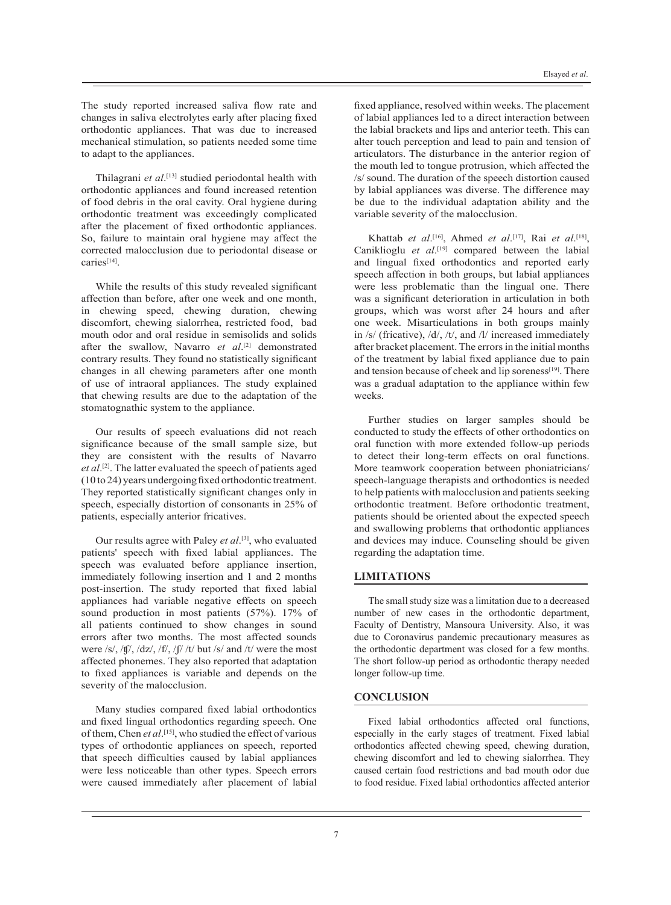The study reported increased saliva flow rate and changes in saliva electrolytes early after placing fixed orthodontic appliances. That was due to increased mechanical stimulation, so patients needed some time to adapt to the appliances.

Thilagrani *et al*. [13] studied periodontal health with orthodontic appliances and found increased retention of food debris in the oral cavity. Oral hygiene during orthodontic treatment was exceedingly complicated after the placement of fixed orthodontic appliances. So, failure to maintain oral hygiene may affect the corrected malocclusion due to periodontal disease or caries[14].

While the results of this study revealed significant affection than before, after one week and one month, in chewing speed, chewing duration, chewing discomfort, chewing sialorrhea, restricted food, bad mouth odor and oral residue in semisolids and solids after the swallow, Navarro *et al*. [2] demonstrated contrary results. They found no statistically significant changes in all chewing parameters after one month of use of intraoral appliances. The study explained that chewing results are due to the adaptation of the stomatognathic system to the appliance.

Our results of speech evaluations did not reach significance because of the small sample size, but they are consistent with the results of Navarro *et al*. [2]. The latter evaluated the speech of patients aged (10 to 24) years undergoing fixed orthodontic treatment. They reported statistically significant changes only in speech, especially distortion of consonants in 25% of patients, especially anterior fricatives.

Our results agree with Paley et al.<sup>[3]</sup>, who evaluated patients' speech with fixed labial appliances. The speech was evaluated before appliance insertion, immediately following insertion and 1 and 2 months post-insertion. The study reported that fixed labial appliances had variable negative effects on speech sound production in most patients (57%). 17% of all patients continued to show changes in sound errors after two months. The most affected sounds were /s/, /ʧ/, /dz/, /f/, /ʃ/ /t/ but /s/ and /t/ were the most affected phonemes. They also reported that adaptation to fixed appliances is variable and depends on the severity of the malocclusion.

Many studies compared fixed labial orthodontics and fixed lingual orthodontics regarding speech. One of them, Chen *et al*. [15], who studied the effect of various types of orthodontic appliances on speech, reported that speech difficulties caused by labial appliances were less noticeable than other types. Speech errors were caused immediately after placement of labial

fixed appliance, resolved within weeks. The placement of labial appliances led to a direct interaction between the labial brackets and lips and anterior teeth. This can alter touch perception and lead to pain and tension of articulators. The disturbance in the anterior region of the mouth led to tongue protrusion, which affected the /s/ sound. The duration of the speech distortion caused by labial appliances was diverse. The difference may be due to the individual adaptation ability and the variable severity of the malocclusion.

Khattab *et al*. [16], Ahmed *et al*. [17], Rai *et al*. [18], Caniklioglu et al.<sup>[19]</sup> compared between the labial and lingual fixed orthodontics and reported early speech affection in both groups, but labial appliances were less problematic than the lingual one. There was a significant deterioration in articulation in both groups, which was worst after 24 hours and after one week. Misarticulations in both groups mainly in /s/ (fricative), /d/, /t/, and /l/ increased immediately after bracket placement. The errors in the initial months of the treatment by labial fixed appliance due to pain and tension because of cheek and lip soreness<sup>[19]</sup>. There was a gradual adaptation to the appliance within few weeks.

Further studies on larger samples should be conducted to study the effects of other orthodontics on oral function with more extended follow-up periods to detect their long-term effects on oral functions. More teamwork cooperation between phoniatricians/ speech-language therapists and orthodontics is needed to help patients with malocclusion and patients seeking orthodontic treatment. Before orthodontic treatment, patients should be oriented about the expected speech and swallowing problems that orthodontic appliances and devices may induce. Counseling should be given regarding the adaptation time.

### **LIMITATIONS**

The small study size was a limitation due to a decreased number of new cases in the orthodontic department, Faculty of Dentistry, Mansoura University. Also, it was due to Coronavirus pandemic precautionary measures as the orthodontic department was closed for a few months. The short follow-up period as orthodontic therapy needed longer follow-up time.

#### **CONCLUSION**

Fixed labial orthodontics affected oral functions, especially in the early stages of treatment. Fixed labial orthodontics affected chewing speed, chewing duration, chewing discomfort and led to chewing sialorrhea. They caused certain food restrictions and bad mouth odor due to food residue. Fixed labial orthodontics affected anterior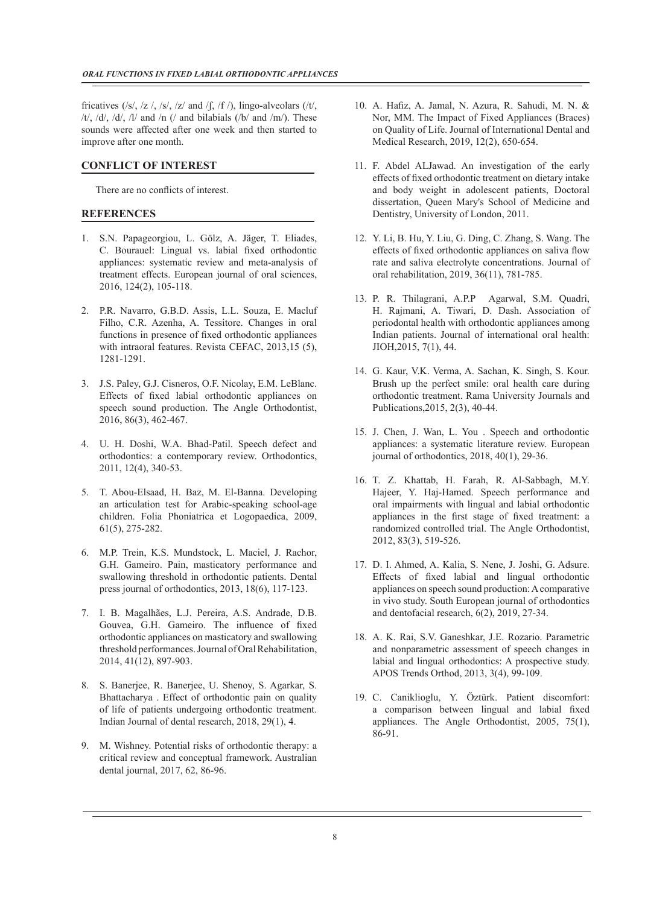fricatives (/s/, /z /, /s/, /z/ and /f, /f /), lingo-alveolars (/t/, /t/, /d/, /d/, /l/ and /n (/ and bilabials (/b/ and /m/). These sounds were affected after one week and then started to improve after one month.

#### **CONFLICT OF INTEREST**

There are no conflicts of interest.

### **REFERENCES**

- 1. S.N. Papageorgiou, L. Gölz, A. Jäger, T. Eliades, C. Bourauel: Lingual vs. labial fixed orthodontic appliances: systematic review and meta-analysis of treatment effects. European journal of oral sciences, 2016, 124(2), 105-118.
- 2. P.R. Navarro, G.B.D. Assis, L.L. Souza, E. Macluf Filho, C.R. Azenha, A. Tessitore. Changes in oral functions in presence of fixed orthodontic appliances with intraoral features. Revista CEFAC, 2013,15 (5), 1281-1291.
- 3. J.S. Paley, G.J. Cisneros, O.F. Nicolay, E.M. LeBlanc. Effects of fixed labial orthodontic appliances on speech sound production. The Angle Orthodontist, 2016, 86(3), 462-467.
- 4. U. H. Doshi, W.A. Bhad-Patil. Speech defect and orthodontics: a contemporary review. Orthodontics, 2011, 12(4), 340-53.
- 5. T. Abou-Elsaad, H. Baz, M. El-Banna. Developing an articulation test for Arabic-speaking school-age children. Folia Phoniatrica et Logopaedica, 2009, 61(5), 275-282.
- 6. M.P. Trein, K.S. Mundstock, L. Maciel, J. Rachor, G.H. Gameiro. Pain, masticatory performance and swallowing threshold in orthodontic patients. Dental press journal of orthodontics, 2013, 18(6), 117-123.
- 7. I. B. Magalhães, L.J. Pereira, A.S. Andrade, D.B. Gouvea, G.H. Gameiro. The influence of fixed orthodontic appliances on masticatory and swallowing threshold performances. Journal of Oral Rehabilitation, 2014, 41(12), 897-903.
- 8. S. Banerjee, R. Banerjee, U. Shenoy, S. Agarkar, S. Bhattacharya . Effect of orthodontic pain on quality of life of patients undergoing orthodontic treatment. Indian Journal of dental research, 2018, 29(1), 4.
- 9. M. Wishney. Potential risks of orthodontic therapy: a critical review and conceptual framework. Australian dental journal, 2017, 62, 86-96.
- 10. A. Hafiz, A. Jamal, N. Azura, R. Sahudi, M. N. & Nor, MM. The Impact of Fixed Appliances (Braces) on Quality of Life. Journal of International Dental and Medical Research, 2019, 12(2), 650-654.
- 11. F. Abdel ALJawad. An investigation of the early effects of fixed orthodontic treatment on dietary intake and body weight in adolescent patients, Doctoral dissertation, Queen Mary's School of Medicine and Dentistry, University of London, 2011.
- 12. Y. Li, B. Hu, Y. Liu, G. Ding, C. Zhang, S. Wang. The effects of fixed orthodontic appliances on saliva flow rate and saliva electrolyte concentrations. Journal of oral rehabilitation, 2019, 36(11), 781-785.
- 13. P. R. Thilagrani, A.P.P Agarwal, S.M. Quadri, H. Rajmani, A. Tiwari, D. Dash. Association of periodontal health with orthodontic appliances among Indian patients. Journal of international oral health: JIOH,2015, 7(1), 44.
- 14. G. Kaur, V.K. Verma, A. Sachan, K. Singh, S. Kour. Brush up the perfect smile: oral health care during orthodontic treatment. Rama University Journals and Publications,2015, 2(3), 40-44.
- 15. J. Chen, J. Wan, L. You . Speech and orthodontic appliances: a systematic literature review. European journal of orthodontics, 2018, 40(1), 29-36.
- 16. T. Z. Khattab, H. Farah, R. Al-Sabbagh, M.Y. Hajeer, Y. Haj-Hamed. Speech performance and oral impairments with lingual and labial orthodontic appliances in the first stage of fixed treatment: a randomized controlled trial. The Angle Orthodontist, 2012, 83(3), 519-526.
- 17. D. I. Ahmed, A. Kalia, S. Nene, J. Joshi, G. Adsure. Effects of fixed labial and lingual orthodontic appliances on speech sound production: A comparative in vivo study. South European journal of orthodontics and dentofacial research, 6(2), 2019, 27-34.
- 18. A. K. Rai, S.V. Ganeshkar, J.E. Rozario. Parametric and nonparametric assessment of speech changes in labial and lingual orthodontics: A prospective study. APOS Trends Orthod, 2013, 3(4), 99-109.
- 19. C. Caniklioglu, Y. Öztürk. Patient discomfort: a comparison between lingual and labial fixed appliances. The Angle Orthodontist, 2005, 75(1), 86-91.